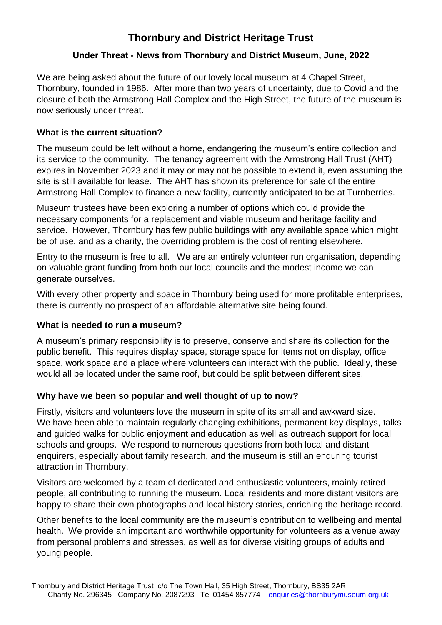# **Thornbury and District Heritage Trust**

## **Under Threat - News from Thornbury and District Museum, June, 2022**

We are being asked about the future of our lovely local museum at 4 Chapel Street, Thornbury, founded in 1986. After more than two years of uncertainty, due to Covid and the closure of both the Armstrong Hall Complex and the High Street, the future of the museum is now seriously under threat.

## **What is the current situation?**

The museum could be left without a home, endangering the museum's entire collection and its service to the community. The tenancy agreement with the Armstrong Hall Trust (AHT) expires in November 2023 and it may or may not be possible to extend it, even assuming the site is still available for lease. The AHT has shown its preference for sale of the entire Armstrong Hall Complex to finance a new facility, currently anticipated to be at Turnberries.

Museum trustees have been exploring a number of options which could provide the necessary components for a replacement and viable museum and heritage facility and service. However, Thornbury has few public buildings with any available space which might be of use, and as a charity, the overriding problem is the cost of renting elsewhere.

Entry to the museum is free to all. We are an entirely volunteer run organisation, depending on valuable grant funding from both our local councils and the modest income we can generate ourselves.

With every other property and space in Thornbury being used for more profitable enterprises, there is currently no prospect of an affordable alternative site being found.

### **What is needed to run a museum?**

A museum's primary responsibility is to preserve, conserve and share its collection for the public benefit. This requires display space, storage space for items not on display, office space, work space and a place where volunteers can interact with the public. Ideally, these would all be located under the same roof, but could be split between different sites.

### **Why have we been so popular and well thought of up to now?**

Firstly, visitors and volunteers love the museum in spite of its small and awkward size. We have been able to maintain regularly changing exhibitions, permanent key displays, talks and guided walks for public enjoyment and education as well as outreach support for local schools and groups. We respond to numerous questions from both local and distant enquirers, especially about family research, and the museum is still an enduring tourist attraction in Thornbury.

Visitors are welcomed by a team of dedicated and enthusiastic volunteers, mainly retired people, all contributing to running the museum. Local residents and more distant visitors are happy to share their own photographs and local history stories, enriching the heritage record.

Other benefits to the local community are the museum's contribution to wellbeing and mental health. We provide an important and worthwhile opportunity for volunteers as a venue away from personal problems and stresses, as well as for diverse visiting groups of adults and young people.